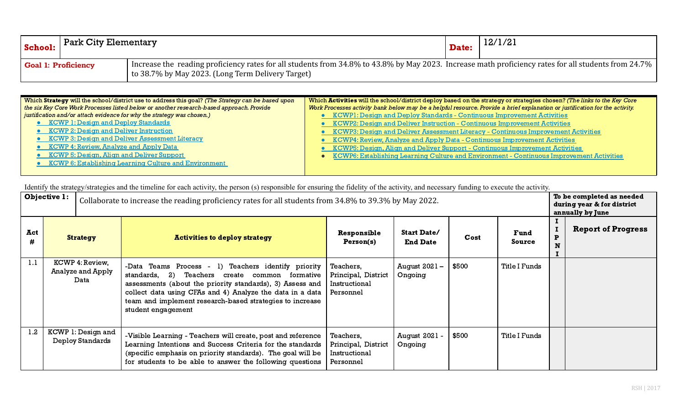| <b>School:</b>             | $\mid$ Park City Elementary $\mid$ |                                                                                                                                                                                                           |  | 12/1/21 |
|----------------------------|------------------------------------|-----------------------------------------------------------------------------------------------------------------------------------------------------------------------------------------------------------|--|---------|
| <b>Goal 1: Proficiency</b> |                                    | Increase the reading proficiency rates for all students from 34.8% to 43.8% by May 2023. Increase math proficiency rates for all students from 24.7%<br>to 38.7% by May 2023. (Long Term Delivery Target) |  |         |

| Which Strategy will the school/district use to address this goal? (The Strategy can be based upon | Which Activities will the school/district deploy based on the strategy or strategies chosen? (The links to the Key Core      |  |  |  |  |  |  |
|---------------------------------------------------------------------------------------------------|------------------------------------------------------------------------------------------------------------------------------|--|--|--|--|--|--|
| the six Key Core Work Processes listed below or another research-based approach. Provide          | Work Processes activity bank below may be a helpful resource. Provide a brief explanation or justification for the activity. |  |  |  |  |  |  |
| justification and/or attach evidence for why the strategy was chosen.)                            | KCWP1: Design and Deploy Standards - Continuous Improvement Activities                                                       |  |  |  |  |  |  |
| <b>• KCWP 1: Design and Deploy Standards</b>                                                      | • KCWP2: Design and Deliver Instruction - Continuous Improvement Activities                                                  |  |  |  |  |  |  |
| • KCWP 2: Design and Deliver Instruction                                                          | • KCWP3: Design and Deliver Assessment Literacy - Continuous Improvement Activities                                          |  |  |  |  |  |  |
| • KCWP 3: Design and Deliver Assessment Literacy                                                  | • KCWP4: Review, Analyze and Apply Data - Continuous Improvement Activities                                                  |  |  |  |  |  |  |
| • KCWP 4: Review, Analyze and Apply Data                                                          | • KCWP5: Design, Align and Deliver Support - Continuous Improvement Activities                                               |  |  |  |  |  |  |
| • KCWP 5: Design, Align and Deliver Support                                                       | • KCWP6: Establishing Learning Culture and Environment - Continuous Improvement Activities                                   |  |  |  |  |  |  |
| • KCWP 6: Establishing Learning Culture and Environment                                           |                                                                                                                              |  |  |  |  |  |  |
|                                                                                                   |                                                                                                                              |  |  |  |  |  |  |

|          | Objective 1:                                  | Collaborate to increase the reading proficiency rates for all students from 34.8% to 39.3% by May 2022.                                                                                                                                                                                                                  |                                                                |                                       |       |                | To be completed as needed<br>during year & for district<br>annually by June |                           |
|----------|-----------------------------------------------|--------------------------------------------------------------------------------------------------------------------------------------------------------------------------------------------------------------------------------------------------------------------------------------------------------------------------|----------------------------------------------------------------|---------------------------------------|-------|----------------|-----------------------------------------------------------------------------|---------------------------|
| Act<br># | <b>Strategy</b>                               | <b>Activities to deploy strategy</b>                                                                                                                                                                                                                                                                                     | Responsible<br>Person(s)                                       | <b>Start Date/</b><br><b>End Date</b> | Cost  | Fund<br>Source | P                                                                           | <b>Report of Progress</b> |
| 1.1      | KCWP 4: Review,<br>Analyze and Apply<br>Data  | -Data Teams Process - 1) Teachers identify priority<br>Teachers create common formative<br>standards,<br>-2)<br>assessments (about the priority standards), 3) Assess and<br>collect data using CFAs and 4) Analyze the data in a data<br>team and implement research-based strategies to increase<br>student engagement | Teachers,<br>Principal, District<br>Instructional<br>Personnel | August 2021 –<br>Ongoing              | \$500 | Title I Funds  |                                                                             |                           |
| 1.2      | KCWP 1: Design and<br><b>Deploy Standards</b> | -Visible Learning - Teachers will create, post and reference<br>Learning Intentions and Success Criteria for the standards<br>(specific emphasis on priority standards). The goal will be<br>for students to be able to answer the following questions                                                                   | Teachers,<br>Principal, District<br>Instructional<br>Personnel | August 2021 -<br>Ongoing              | \$500 | Title I Funds  |                                                                             |                           |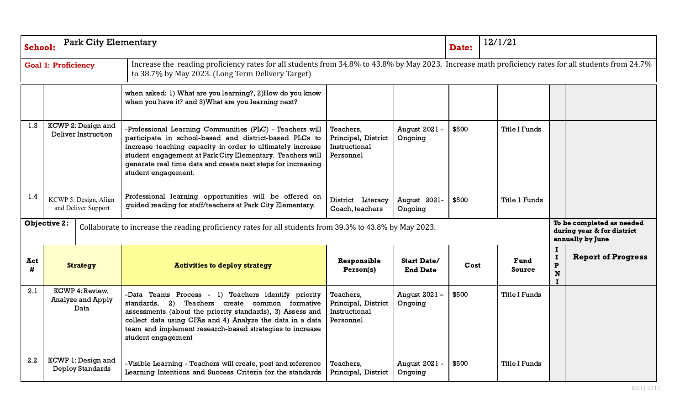| <b>School:</b> |                                              | <b>Park City Elementary</b>                   |                                                                                                                                                                                                                                                                                                                                      |                                                                |                                       | Date: | 12/1/21              |                                                |                                                                             |
|----------------|----------------------------------------------|-----------------------------------------------|--------------------------------------------------------------------------------------------------------------------------------------------------------------------------------------------------------------------------------------------------------------------------------------------------------------------------------------|----------------------------------------------------------------|---------------------------------------|-------|----------------------|------------------------------------------------|-----------------------------------------------------------------------------|
|                |                                              | <b>Goal 1: Proficiency</b>                    | Increase the reading proficiency rates for all students from 34.8% to 43.8% by May 2023. Increase math proficiency rates for all students from 24.7%<br>to 38.7% by May 2023. (Long Term Delivery Target)                                                                                                                            |                                                                |                                       |       |                      |                                                |                                                                             |
|                |                                              |                                               | when asked: 1) What are you learning?, 2) How do you know<br>when you have it? and 3) What are you learning next?                                                                                                                                                                                                                    |                                                                |                                       |       |                      |                                                |                                                                             |
| 1.3            | KCWP 2: Design and<br>Deliver Instruction    |                                               | -Professional Learning Communities (PLC) - Teachers will<br>participate in school-based and district-based PLCs to<br>increase teaching capacity in order to ultimately increase<br>student engagement at Park City Elementary. Teachers will<br>generate real time data and create next steps for increasing<br>student engagement. | Teachers,<br>Principal, District<br>Instructional<br>Personnel | August 2021 -<br>Ongoing              | \$500 | <b>Title I Funds</b> |                                                |                                                                             |
| 1.4            | KCWP 5: Design, Align<br>and Deliver Support |                                               | Professional learning opportunities will be offered on<br>guided reading for staff/teachers at Park City Elementary.                                                                                                                                                                                                                 | District Literacy<br>Coach, teachers                           | August 2021-<br>Ongoing               | \$500 | <b>Title 1 Funds</b> |                                                |                                                                             |
|                | <b>Objective 2:</b>                          |                                               | Collaborate to increase the reading proficiency rates for all students from 39.3% to 43.8% by May 2023.                                                                                                                                                                                                                              |                                                                |                                       |       |                      |                                                | To be completed as needed<br>during year & for district<br>annually by June |
| Act<br>#       |                                              | <b>Strategy</b>                               | <b>Activities to deploy strategy</b>                                                                                                                                                                                                                                                                                                 | Responsible<br>Person(s)                                       | <b>Start Date/</b><br><b>End Date</b> | Cost  | Fund<br>Source       | I<br>I<br>$\mathbf P$<br>${\bf N}$<br>$\bf{I}$ | <b>Report of Progress</b>                                                   |
| 2.1            | KCWP 4: Review,<br>Analyze and Apply<br>Data |                                               | -Data Teams Process - 1) Teachers identify priority<br>standards, 2)<br>Teachers create common formative<br>assessments (about the priority standards), 3) Assess and<br>collect data using CFAs and 4) Analyze the data in a data<br>team and implement research-based strategies to increase<br>student engagement                 | Teachers,<br>Principal, District<br>Instructional<br>Personnel | August 2021 -<br>Ongoing              | \$500 | <b>Title I Funds</b> |                                                |                                                                             |
| 2.2            |                                              | KCWP 1: Design and<br><b>Deploy Standards</b> | -Visible Learning - Teachers will create, post and reference<br>Learning Intentions and Success Criteria for the standards                                                                                                                                                                                                           | Teachers,<br>Principal, District                               | August 2021 -<br>Ongoing              | \$500 | <b>Title I Funds</b> |                                                |                                                                             |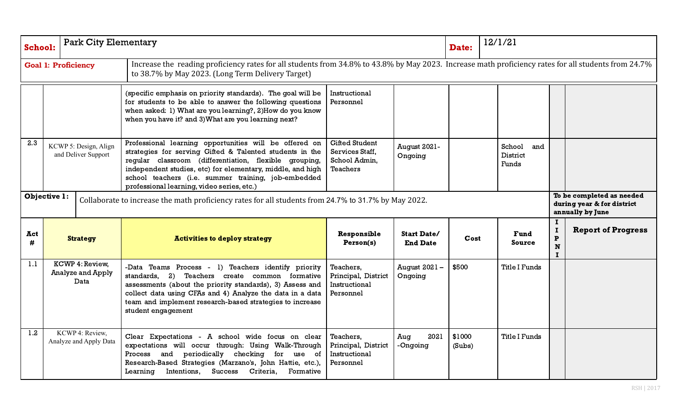| <b>School:</b> |                                                                                                                      | <b>Park City Elementary</b> |                                                                                                                                                                                                                                                                                                                                                 |                                                                              |                                       | Date:            | 12/1/21                                   |                                      |                                                                             |
|----------------|----------------------------------------------------------------------------------------------------------------------|-----------------------------|-------------------------------------------------------------------------------------------------------------------------------------------------------------------------------------------------------------------------------------------------------------------------------------------------------------------------------------------------|------------------------------------------------------------------------------|---------------------------------------|------------------|-------------------------------------------|--------------------------------------|-----------------------------------------------------------------------------|
|                | <b>Goal 1: Proficiency</b>                                                                                           |                             | Increase the reading proficiency rates for all students from 34.8% to 43.8% by May 2023. Increase math proficiency rates for all students from 24.7%<br>to 38.7% by May 2023. (Long Term Delivery Target)                                                                                                                                       |                                                                              |                                       |                  |                                           |                                      |                                                                             |
|                |                                                                                                                      |                             | (specific emphasis on priority standards). The goal will be<br>for students to be able to answer the following questions<br>when asked: 1) What are you learning?, 2) How do you know<br>when you have it? and 3) What are you learning next?                                                                                                   | Instructional<br>Personnel                                                   |                                       |                  |                                           |                                      |                                                                             |
| 2.3            | KCWP 5: Design, Align<br>and Deliver Support                                                                         |                             | Professional learning opportunities will be offered on<br>strategies for serving Gifted & Talented students in the<br>regular classroom (differentiation, flexible grouping,<br>independent studies, etc) for elementary, middle, and high<br>school teachers (i.e. summer training, job-embedded<br>professional learning, video series, etc.) | <b>Gifted Student</b><br>Services Staff,<br>School Admin,<br><b>Teachers</b> | <b>August 2021-</b><br>Ongoing        |                  | School<br>and<br><b>District</b><br>Funds |                                      |                                                                             |
|                | Objective 1:<br>Collaborate to increase the math proficiency rates for all students from 24.7% to 31.7% by May 2022. |                             |                                                                                                                                                                                                                                                                                                                                                 |                                                                              |                                       |                  |                                           |                                      | To be completed as needed<br>during year & for district<br>annually by June |
| Act<br>#       | <b>Strategy</b>                                                                                                      |                             | <b>Activities to deploy strategy</b>                                                                                                                                                                                                                                                                                                            | Responsible<br>Person(s)                                                     | <b>Start Date/</b><br><b>End Date</b> | Cost             | Fund<br>Source                            | I<br>$\mathbf P$<br>$\mathbf N$<br>1 | <b>Report of Progress</b>                                                   |
| 1.1            | KCWP 4: Review,<br>Analyze and Apply<br>Data                                                                         |                             | -Data Teams Process - 1) Teachers identify priority<br>$\mathbf{2}$<br>standards,<br>Teachers create common formative<br>assessments (about the priority standards), 3) Assess and<br>collect data using CFAs and 4) Analyze the data in a data<br>team and implement research-based strategies to increase<br>student engagement               | Teachers,<br>Principal, District<br>Instructional<br>Personnel               | August 2021 –<br>Ongoing              | \$500            | <b>Title I Funds</b>                      |                                      |                                                                             |
| 1.2            | KCWP 4: Review,<br>Analyze and Apply Data                                                                            |                             | Clear Expectations - A school wide focus on clear<br>expectations will occur through: Using Walk-Through<br>Process and periodically checking<br>for use of<br>Research-Based Strategies (Marzano's, John Hattie, etc.),<br>Learning<br>Intentions,<br>Success<br>Criteria,<br>Formative                                                        | Teachers,<br>Principal, District<br>Instructional<br>Personnel               | 2021<br>Aug<br>-Ongoing               | \$1000<br>(Subs) | <b>Title I Funds</b>                      |                                      |                                                                             |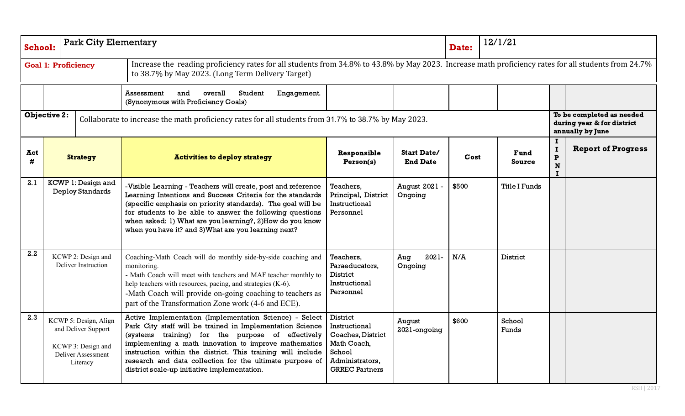| School:  |                                           | <b>Park City Elementary</b>                                                                          |                                                                                                                                                                                                                                                                                                                                                                                                               |                                                                                                                     |                                       | Date: | 12/1/21               |                                                                             |                           |  |
|----------|-------------------------------------------|------------------------------------------------------------------------------------------------------|---------------------------------------------------------------------------------------------------------------------------------------------------------------------------------------------------------------------------------------------------------------------------------------------------------------------------------------------------------------------------------------------------------------|---------------------------------------------------------------------------------------------------------------------|---------------------------------------|-------|-----------------------|-----------------------------------------------------------------------------|---------------------------|--|
|          |                                           | <b>Goal 1: Proficiency</b>                                                                           | Increase the reading proficiency rates for all students from 34.8% to 43.8% by May 2023. Increase math proficiency rates for all students from 24.7%<br>to 38.7% by May 2023. (Long Term Delivery Target)                                                                                                                                                                                                     |                                                                                                                     |                                       |       |                       |                                                                             |                           |  |
|          |                                           |                                                                                                      | overall<br>Student<br>Assessment<br>and<br>Engagement.<br>(Synonymous with Proficiency Goals)                                                                                                                                                                                                                                                                                                                 |                                                                                                                     |                                       |       |                       |                                                                             |                           |  |
|          | <b>Objective 2:</b>                       |                                                                                                      | Collaborate to increase the math proficiency rates for all students from 31.7% to 38.7% by May 2023.                                                                                                                                                                                                                                                                                                          |                                                                                                                     |                                       |       |                       | To be completed as needed<br>during year & for district<br>annually by June |                           |  |
| Act<br># |                                           | <b>Strategy</b>                                                                                      | <b>Activities to deploy strategy</b>                                                                                                                                                                                                                                                                                                                                                                          | Responsible<br>Person(s)                                                                                            | <b>Start Date/</b><br><b>End Date</b> | Cost  | <b>Fund</b><br>Source | 1<br>$\mathbf P$<br>${\bf N}$<br>Т.                                         | <b>Report of Progress</b> |  |
| 2.1      |                                           | KCWP 1: Design and<br><b>Deploy Standards</b>                                                        | -Visible Learning - Teachers will create, post and reference<br>Learning Intentions and Success Criteria for the standards<br>(specific emphasis on priority standards). The goal will be<br>for students to be able to answer the following questions<br>when asked: 1) What are you learning?, 2) How do you know<br>when you have it? and 3) What are you learning next?                                   | Teachers,<br>Principal, District<br>Instructional<br>Personnel                                                      | August 2021 -<br>Ongoing              | \$500 | <b>Title I Funds</b>  |                                                                             |                           |  |
| 2.2      | KCWP 2: Design and<br>Deliver Instruction |                                                                                                      | Coaching-Math Coach will do monthly side-by-side coaching and<br>monitoring.<br>- Math Coach will meet with teachers and MAF teacher monthly to<br>help teachers with resources, pacing, and strategies (K-6).<br>-Math Coach will provide on-going coaching to teachers as<br>part of the Transformation Zone work (4-6 and ECE).                                                                            | Teachers,<br>Paraeducators,<br>District<br>Instructional<br>Personnel                                               | 2021-<br>Aug<br>Ongoing               | N/A   | District              |                                                                             |                           |  |
| 2.3      |                                           | KCWP 5: Design, Align<br>and Deliver Support<br>KCWP 3: Design and<br>Deliver Assessment<br>Literacy | Active Implementation (Implementation Science) - Select<br>Park City staff will be trained in Implementation Science<br>(systems training) for the purpose of effectively<br>implementing a math innovation to improve mathematics<br>instruction within the district. This training will include<br>research and data collection for the ultimate purpose of<br>district scale-up initiative implementation. | District<br>Instructional<br>Coaches, District<br>Math Coach,<br>School<br>Administrators,<br><b>GRREC Partners</b> | August<br>2021-ongoing                | \$600 | School<br>Funds       |                                                                             |                           |  |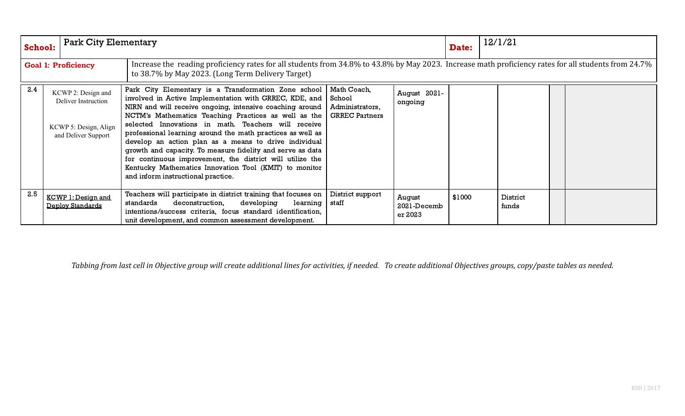| School:                    |  | <b>Park City Elementary</b>                                                               |                                                                                                                                                                                                                                                                                                                                                                                                                                                                                                                                                                                                                                                   |                                                                                                                                                      |                                  | Date:  | 12/1/21           |  |  |  |  |
|----------------------------|--|-------------------------------------------------------------------------------------------|---------------------------------------------------------------------------------------------------------------------------------------------------------------------------------------------------------------------------------------------------------------------------------------------------------------------------------------------------------------------------------------------------------------------------------------------------------------------------------------------------------------------------------------------------------------------------------------------------------------------------------------------------|------------------------------------------------------------------------------------------------------------------------------------------------------|----------------------------------|--------|-------------------|--|--|--|--|
| <b>Goal 1: Proficiency</b> |  |                                                                                           | to 38.7% by May 2023. (Long Term Delivery Target)                                                                                                                                                                                                                                                                                                                                                                                                                                                                                                                                                                                                 | Increase the reading proficiency rates for all students from 34.8% to 43.8% by May 2023. Increase math proficiency rates for all students from 24.7% |                                  |        |                   |  |  |  |  |
| 2.4                        |  | KCWP 2: Design and<br>Deliver Instruction<br>KCWP 5: Design, Align<br>and Deliver Support | Park City Elementary is a Transformation Zone school  <br>involved in Active Implementation with GRREC, KDE, and  <br>NIRN and will receive ongoing, intensive coaching around  <br>NCTM's Mathematics Teaching Practices as well as the<br>selected Innovations in math. Teachers will receive<br>professional learning around the math practices as well as<br>develop an action plan as a means to drive individual<br>growth and capacity. To measure fidelity and serve as data<br>for continuous improvement, the district will utilize the<br>Kentucky Mathematics Innovation Tool (KMIT) to monitor<br>and inform instructional practice. | Math Coach,<br>School<br>Administrators,<br><b>GRREC Partners</b>                                                                                    | August 2021-<br>ongoing          |        |                   |  |  |  |  |
| 2.5                        |  | <b>KCWP 1: Design and</b><br><b>Deploy Standards</b>                                      | Teachers will participate in district training that focuses on<br>standards<br>deconstruction,<br>developing<br>learning  <br>intentions/success criteria, focus standard identification,<br>unit development, and common assessment development.                                                                                                                                                                                                                                                                                                                                                                                                 | District support<br>staff                                                                                                                            | August<br>2021-Decemb<br>er 2023 | \$1000 | District<br>funds |  |  |  |  |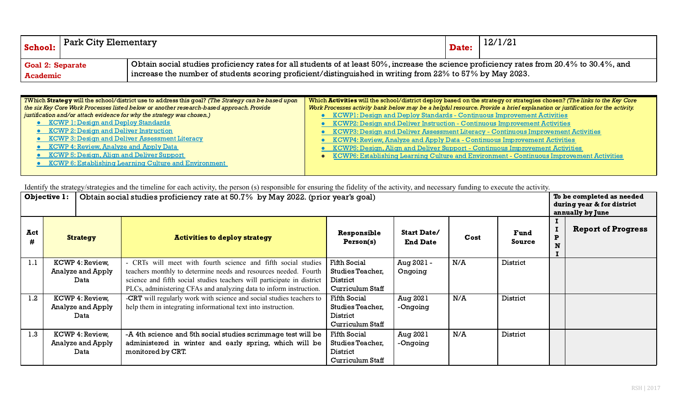| School:                 | Park City Elementary |                                                                                                                                                  | Date: | 12/1/21 |  |  |  |  |  |
|-------------------------|----------------------|--------------------------------------------------------------------------------------------------------------------------------------------------|-------|---------|--|--|--|--|--|
| <b>Goal 2: Separate</b> |                      | $\mid$ Obtain social studies proficiency rates for all students of at least 50%, increase the science proficiency rates from 20.4% to 30.4%, and |       |         |  |  |  |  |  |
| <b>Academic</b>         |                      | increase the number of students scoring proficient/distinguished in writing from $22\%$ to $57\%$ by May 2023.                                   |       |         |  |  |  |  |  |

| 7Which Strategy will the school/district use to address this goal? (The Strategy can be based upon | Which Activities will the school/district deploy based on the strategy or strategies chosen? (The links to the Key Core      |  |  |  |  |  |  |
|----------------------------------------------------------------------------------------------------|------------------------------------------------------------------------------------------------------------------------------|--|--|--|--|--|--|
| the six Key Core Work Processes listed below or another research-based approach. Provide           | Work Processes activity bank below may be a helpful resource. Provide a brief explanation or justification for the activity. |  |  |  |  |  |  |
| justification and/or attach evidence for why the strategy was chosen.)                             | <b>KCWP1: Design and Deploy Standards - Continuous Improvement Activities</b>                                                |  |  |  |  |  |  |
| <b>• KCWP 1: Design and Deploy Standards</b>                                                       | <b>KCWP2: Design and Deliver Instruction - Continuous Improvement Activities</b>                                             |  |  |  |  |  |  |
| • KCWP 2: Design and Deliver Instruction                                                           | KCWP3: Design and Deliver Assessment Literacy - Continuous Improvement Activities                                            |  |  |  |  |  |  |
| • KCWP 3: Design and Deliver Assessment Literacy                                                   | KCWP4: Review, Analyze and Apply Data - Continuous Improvement Activities                                                    |  |  |  |  |  |  |
| • KCWP 4: Review, Analyze and Apply Data                                                           | KCWP5: Design, Align and Deliver Support - Continuous Improvement Activities                                                 |  |  |  |  |  |  |
| • KCWP 5: Design, Align and Deliver Support                                                        | <b>KCWP6: Establishing Learning Culture and Environment - Continuous Improvement Activities</b>                              |  |  |  |  |  |  |
| • KCWP 6: Establishing Learning Culture and Environment                                            |                                                                                                                              |  |  |  |  |  |  |
|                                                                                                    |                                                                                                                              |  |  |  |  |  |  |

|          | Objective 1:                                 |                                                                                                                                                                                                                                                                                   | Obtain social studies proficiency rate at 50.7% by May 2022. (prior year's goal) |                                       |      |                |        | To be completed as needed<br>during year & for district<br>annually by June |  |
|----------|----------------------------------------------|-----------------------------------------------------------------------------------------------------------------------------------------------------------------------------------------------------------------------------------------------------------------------------------|----------------------------------------------------------------------------------|---------------------------------------|------|----------------|--------|-----------------------------------------------------------------------------|--|
| Act<br># | <b>Strategy</b>                              | <b>Activities to deploy strategy</b>                                                                                                                                                                                                                                              | <b>Responsible</b><br>Person(s)                                                  | <b>Start Date/</b><br><b>End Date</b> | Cost | Fund<br>Source | P<br>N | <b>Report of Progress</b>                                                   |  |
| 1.1      | KCWP 4: Review,<br>Analyze and Apply<br>Data | - CRTs will meet with fourth science and fifth social studies<br>teachers monthly to determine needs and resources needed. Fourth<br>science and fifth social studies teachers will participate in district<br>PLCs, administering CFAs and analyzing data to inform instruction. | <b>Fifth Social</b><br>Studies Teacher,<br>District<br>Curriculum Staff          | Aug 2021 -<br>Ongoing                 | N/A  | District       |        |                                                                             |  |
| 1.2      | KCWP 4: Review,<br>Analyze and Apply<br>Data | -CRT will regularly work with science and social studies teachers to<br>help them in integrating informational text into instruction.                                                                                                                                             | Fifth Social<br>Studies Teacher,<br>District<br>Curriculum Staff                 | Aug 2021<br>-Ongoing                  | N/A  | District       |        |                                                                             |  |
| 1.3      | KCWP 4: Review,<br>Analyze and Apply<br>Data | -A 4th science and 5th social studies scrimmage test will be<br>administered in winter and early spring, which will be<br>monitored by CRT.                                                                                                                                       | <b>Fifth Social</b><br>Studies Teacher,<br>District<br>Curriculum Staff          | Aug 2021<br>-Ongoing                  | N/A  | District       |        |                                                                             |  |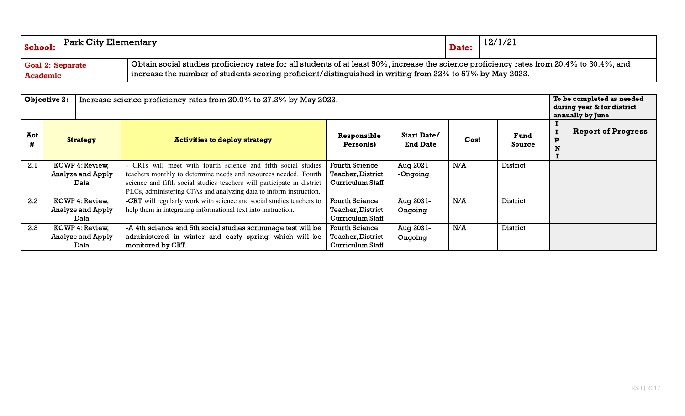| School:                                    | $\mid$ Park City Elementary |                                                                                                                                                                                                                                                              | 12/1/21<br>Date: |  |  |  |  |  |
|--------------------------------------------|-----------------------------|--------------------------------------------------------------------------------------------------------------------------------------------------------------------------------------------------------------------------------------------------------------|------------------|--|--|--|--|--|
| <b>Goal 2: Separate</b><br><b>Academic</b> |                             | Obtain social studies proficiency rates for all students of at least 50%, increase the science proficiency rates from 20.4% to 30.4%, and<br>$\mid$ increase the number of students scoring proficient/distinguished in writing from 22% to 57% by May 2023. |                  |  |  |  |  |  |

|     | <b>Objective 2:</b> | Increase science proficiency rates from 20.0% to 27.3% by May 2022.                                                                          |                          |                                       |      |                |        |                           |  |
|-----|---------------------|----------------------------------------------------------------------------------------------------------------------------------------------|--------------------------|---------------------------------------|------|----------------|--------|---------------------------|--|
| Act | <b>Strategy</b>     | <b>Activities to deploy strategy</b>                                                                                                         | Responsible<br>Person(s) | <b>Start Date/</b><br><b>End Date</b> | Cost | Fund<br>Source | P<br>N | <b>Report of Progress</b> |  |
| 2.1 | KCWP 4: Review,     | - CRTs will meet with fourth science and fifth social studies                                                                                | <b>Fourth Science</b>    | Aug 2021                              | N/A  | District       |        |                           |  |
|     | Analyze and Apply   | teachers monthly to determine needs and resources needed. Fourth                                                                             | <b>Teacher, District</b> | -Ongoing                              |      |                |        |                           |  |
|     | Data                | science and fifth social studies teachers will participate in district<br>PLCs, administering CFAs and analyzing data to inform instruction. | Curriculum Staff         |                                       |      |                |        |                           |  |
| 2.2 | KCWP 4: Review,     | <b>-CRT</b> will regularly work with science and social studies teachers to                                                                  | <b>Fourth Science</b>    | Aug 2021-                             | N/A  | District       |        |                           |  |
|     | Analyze and Apply   | help them in integrating informational text into instruction.                                                                                | Teacher, District        | Ongoing                               |      |                |        |                           |  |
|     | Data                |                                                                                                                                              | Curriculum Staff         |                                       |      |                |        |                           |  |
| 2.3 | KCWP 4: Review,     | -A 4th science and 5th social studies scrimmage test will be                                                                                 | <b>Fourth Science</b>    | Aug 2021-                             | N/A  | District       |        |                           |  |
|     | Analyze and Apply   | administered in winter and early spring, which will be                                                                                       | Teacher, District        | Ongoing                               |      |                |        |                           |  |
|     | Data                | monitored by CRT.                                                                                                                            | Curriculum Staff         |                                       |      |                |        |                           |  |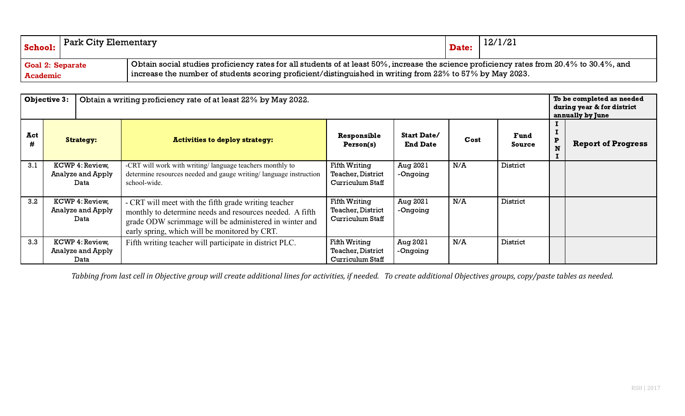| School:                 | Park City Elementary |                                                                                                                                           | Date: | 12/1/21 |  |  |  |
|-------------------------|----------------------|-------------------------------------------------------------------------------------------------------------------------------------------|-------|---------|--|--|--|
| <b>Goal 2: Separate</b> |                      | Obtain social studies proficiency rates for all students of at least 50%, increase the science proficiency rates from 20.4% to 30.4%, and |       |         |  |  |  |
| <b>Academic</b>         |                      | $\,$ increase the number of students scoring proficient/distinguished in writing from $22\%$ to $57\%$ by May 2023.                       |       |         |  |  |  |

|     | <b>Objective 3:</b>                          | Obtain a writing proficiency rate of at least 22% by May 2022.                                                                                                                                                              |                                                               | To be completed as needed<br>during year & for district<br>annually by June |      |                |   |                           |
|-----|----------------------------------------------|-----------------------------------------------------------------------------------------------------------------------------------------------------------------------------------------------------------------------------|---------------------------------------------------------------|-----------------------------------------------------------------------------|------|----------------|---|---------------------------|
| Act | <b>Strategy:</b>                             | <b>Activities to deploy strategy:</b>                                                                                                                                                                                       | Responsible<br>Person(s)                                      | <b>Start Date/</b><br><b>End Date</b>                                       | Cost | Fund<br>Source | P | <b>Report of Progress</b> |
| 3.1 | KCWP 4: Review,<br>Analyze and Apply<br>Data | -CRT will work with writing/language teachers monthly to<br>determine resources needed and gauge writing/language instruction<br>school-wide.                                                                               | Fifth Writing<br><b>Teacher, District</b><br>Curriculum Staff | Aug 2021<br>-Ongoing                                                        | N/A  | District       |   |                           |
| 3.2 | KCWP 4: Review,<br>Analyze and Apply<br>Data | - CRT will meet with the fifth grade writing teacher<br>monthly to determine needs and resources needed. A fifth<br>grade ODW scrimmage will be administered in winter and<br>early spring, which will be monitored by CRT. | Fifth Writing<br>Teacher, District<br>Curriculum Staff        | Aug 2021<br>-Ongoing                                                        | N/A  | District       |   |                           |
| 3.3 | KCWP 4: Review,<br>Analyze and Apply<br>Data | Fifth writing teacher will participate in district PLC.                                                                                                                                                                     | Fifth Writing<br>Teacher, District<br>Curriculum Staff        | Aug 2021<br>-Ongoing                                                        | N/A  | District       |   |                           |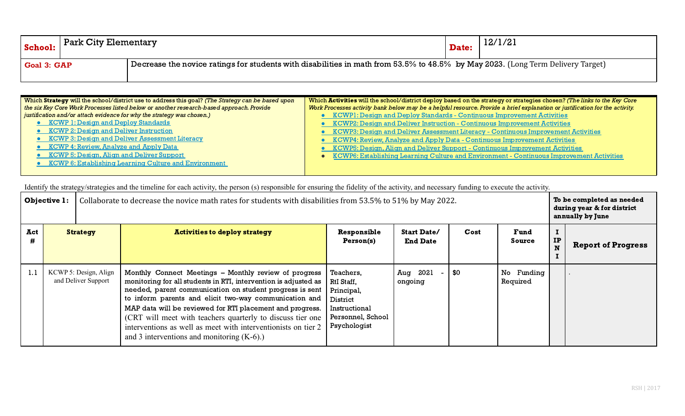| School:            | Park City Elementary |                                                                                                                                 | Date: | 12/1/21 |
|--------------------|----------------------|---------------------------------------------------------------------------------------------------------------------------------|-------|---------|
| <b>Goal 3: GAP</b> |                      | Decrease the novice ratings for students with disabilities in math from 53.5% to 48.5% by May 2023. (Long Term Delivery Target) |       |         |

| Which Strategy will the school/district use to address this goal? (The Strategy can be based upon | Which Activities will the school/district deploy based on the strategy or strategies chosen? (The links to the Key Core      |  |  |  |  |  |  |
|---------------------------------------------------------------------------------------------------|------------------------------------------------------------------------------------------------------------------------------|--|--|--|--|--|--|
| the six Key Core Work Processes listed below or another research-based approach. Provide          | Work Processes activity bank below may be a helpful resource. Provide a brief explanation or justification for the activity. |  |  |  |  |  |  |
| justification and/or attach evidence for why the strategy was chosen.)                            | <b>KCWP1: Design and Deploy Standards - Continuous Improvement Activities</b>                                                |  |  |  |  |  |  |
| <b>• KCWP 1: Design and Deploy Standards</b>                                                      | <b>KCWP2: Design and Deliver Instruction - Continuous Improvement Activities</b>                                             |  |  |  |  |  |  |
| • KCWP 2: Design and Deliver Instruction                                                          | KCWP3: Design and Deliver Assessment Literacy - Continuous Improvement Activities                                            |  |  |  |  |  |  |
| • KCWP 3: Design and Deliver Assessment Literacy                                                  | KCWP4: Review, Analyze and Apply Data - Continuous Improvement Activities                                                    |  |  |  |  |  |  |
| • KCWP 4: Review, Analyze and Apply Data                                                          | KCWP5: Design, Align and Deliver Support - Continuous Improvement Activities                                                 |  |  |  |  |  |  |
| • KCWP 5: Design, Align and Deliver Support                                                       | KCWP6: Establishing Learning Culture and Environment - Continuous Improvement Activities                                     |  |  |  |  |  |  |
| • KCWP 6: Establishing Learning Culture and Environment                                           |                                                                                                                              |  |  |  |  |  |  |
|                                                                                                   |                                                                                                                              |  |  |  |  |  |  |

|          | <b>Objective 1:</b>                          | Collaborate to decrease the novice math rates for students with disabilities from 53.5% to 51% by May 2022. |                                                                                                                                                                                                                                                                                                                                                                                                                                                                                             |                                                                                                         |                                       |      |                        |    | To be completed as needed<br>during year & for district<br>annually by June |  |
|----------|----------------------------------------------|-------------------------------------------------------------------------------------------------------------|---------------------------------------------------------------------------------------------------------------------------------------------------------------------------------------------------------------------------------------------------------------------------------------------------------------------------------------------------------------------------------------------------------------------------------------------------------------------------------------------|---------------------------------------------------------------------------------------------------------|---------------------------------------|------|------------------------|----|-----------------------------------------------------------------------------|--|
| Act<br># | <b>Strategy</b>                              |                                                                                                             | <b>Activities to deploy strategy</b>                                                                                                                                                                                                                                                                                                                                                                                                                                                        | Responsible<br>Person(s)                                                                                | <b>Start Date/</b><br><b>End Date</b> | Cost | Fund<br>Source         | IP | <b>Report of Progress</b>                                                   |  |
| 1.1      | KCWP 5: Design, Align<br>and Deliver Support |                                                                                                             | Monthly Connect Meetings - Monthly review of progress<br>monitoring for all students in RTI, intervention is adjusted as<br>needed, parent communication on student progress is sent<br>to inform parents and elicit two-way communication and<br>MAP data will be reviewed for RTI placement and progress.<br>(CRT will meet with teachers quarterly to discuss tier one<br>interventions as well as meet with interventionists on tier 2<br>and 3 interventions and monitoring $(K-6)$ .) | Teachers,<br>RtI Staff,<br>Principal,<br>District<br>Instructional<br>Personnel, School<br>Psychologist | Aug 2021<br>ongoing                   | \$0  | No Funding<br>Required |    |                                                                             |  |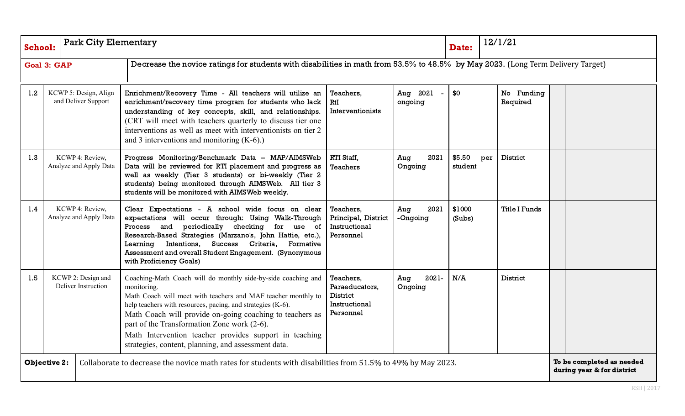| <b>School:</b> | <b>Park City Elementary</b>                  |                                                                                                                                                                                                                                                                                                                                                                                                                                          |                                                                       |                         | Date:             | 12/1/21                |  |                                                         |
|----------------|----------------------------------------------|------------------------------------------------------------------------------------------------------------------------------------------------------------------------------------------------------------------------------------------------------------------------------------------------------------------------------------------------------------------------------------------------------------------------------------------|-----------------------------------------------------------------------|-------------------------|-------------------|------------------------|--|---------------------------------------------------------|
|                | <b>Goal 3: GAP</b>                           | Decrease the novice ratings for students with disabilities in math from 53.5% to 48.5% by May 2023. (Long Term Delivery Target)                                                                                                                                                                                                                                                                                                          |                                                                       |                         |                   |                        |  |                                                         |
| 1.2            | KCWP 5: Design, Align<br>and Deliver Support | Enrichment/Recovery Time - All teachers will utilize an<br>enrichment/recovery time program for students who lack<br>understanding of key concepts, skill, and relationships.<br>(CRT will meet with teachers quarterly to discuss tier one<br>interventions as well as meet with interventionists on tier 2<br>and 3 interventions and monitoring $(K-6)$ .)                                                                            | Teachers,<br>RtI<br>Interventionists                                  | Aug 2021<br>ongoing     | \$0               | No Funding<br>Required |  |                                                         |
| 1.3            | KCWP 4: Review.<br>Analyze and Apply Data    | Progress Monitoring/Benchmark Data - MAP/AIMSWeb<br>Data will be reviewed for RTI placement and progress as<br>well as weekly (Tier 3 students) or bi-weekly (Tier 2<br>students) being monitored through AIMSWeb. All tier 3<br>students will be monitored with AIMSWeb weekly.                                                                                                                                                         | RTI Staff,<br>Teachers                                                | 2021<br>Aug<br>Ongoing  | \$5.50<br>student | District<br>per        |  |                                                         |
| 1.4            | KCWP 4: Review,<br>Analyze and Apply Data    | Clear Expectations - A school wide focus on clear<br>expectations will occur through: Using Walk-Through<br>Process and periodically checking for use of<br>Research-Based Strategies (Marzano's, John Hattie, etc.),<br>Success Criteria,<br>Learning Intentions,<br>Formative<br>Assessment and overall Student Engagement. (Synonymous<br>with Proficiency Goals)                                                                     | Teachers,<br>Principal, District<br>Instructional<br>Personnel        | Aug<br>2021<br>-Ongoing | \$1000<br>(Subs)  | <b>Title I Funds</b>   |  |                                                         |
| 1.5            | KCWP 2: Design and<br>Deliver Instruction    | Coaching-Math Coach will do monthly side-by-side coaching and<br>monitoring.<br>Math Coach will meet with teachers and MAF teacher monthly to<br>help teachers with resources, pacing, and strategies (K-6).<br>Math Coach will provide on-going coaching to teachers as<br>part of the Transformation Zone work (2-6).<br>Math Intervention teacher provides support in teaching<br>strategies, content, planning, and assessment data. | Teachers,<br>Paraeducators,<br>District<br>Instructional<br>Personnel | 2021-<br>Aug<br>Ongoing | N/A               | District               |  |                                                         |
|                | <b>Objective 2:</b>                          | Collaborate to decrease the novice math rates for students with disabilities from 51.5% to 49% by May 2023.                                                                                                                                                                                                                                                                                                                              |                                                                       |                         |                   |                        |  | To be completed as needed<br>during year & for district |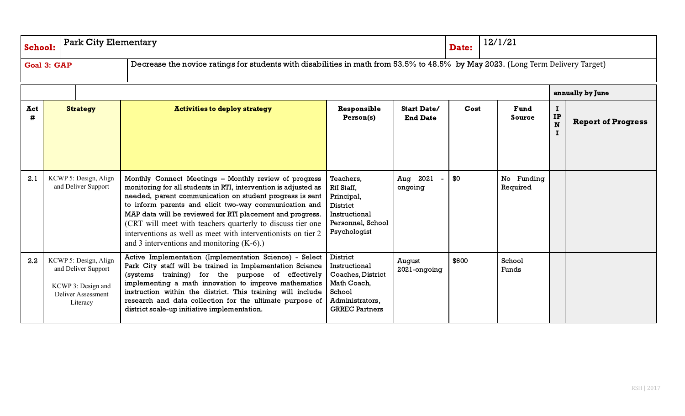| <b>School:</b> | <b>Park City Elementary</b>                                                                          |                                                                                                                                                                                                                                                                                                                                                                                                                                                                                             | 12/1/21<br>Date:                                                                                                    |                                       |       |                              |                           |                           |
|----------------|------------------------------------------------------------------------------------------------------|---------------------------------------------------------------------------------------------------------------------------------------------------------------------------------------------------------------------------------------------------------------------------------------------------------------------------------------------------------------------------------------------------------------------------------------------------------------------------------------------|---------------------------------------------------------------------------------------------------------------------|---------------------------------------|-------|------------------------------|---------------------------|---------------------------|
|                | <b>Goal 3: GAP</b>                                                                                   | Decrease the novice ratings for students with disabilities in math from 53.5% to 48.5% by May 2023. (Long Term Delivery Target)                                                                                                                                                                                                                                                                                                                                                             |                                                                                                                     |                                       |       |                              |                           |                           |
|                |                                                                                                      |                                                                                                                                                                                                                                                                                                                                                                                                                                                                                             |                                                                                                                     |                                       |       |                              |                           | annually by June          |
| Act<br>#       | <b>Strategy</b>                                                                                      | <b>Activities to deploy strategy</b>                                                                                                                                                                                                                                                                                                                                                                                                                                                        | Responsible<br>Person(s)                                                                                            | <b>Start Date/</b><br><b>End Date</b> | Cost  | <b>Fund</b><br><b>Source</b> | п.<br>IP<br>N<br>$\bf{I}$ | <b>Report of Progress</b> |
| 2.1            | KCWP 5: Design, Align<br>and Deliver Support                                                         | Monthly Connect Meetings - Monthly review of progress<br>monitoring for all students in RTI, intervention is adjusted as<br>needed, parent communication on student progress is sent<br>to inform parents and elicit two-way communication and<br>MAP data will be reviewed for RTI placement and progress.<br>(CRT will meet with teachers quarterly to discuss tier one<br>interventions as well as meet with interventionists on tier 2<br>and 3 interventions and monitoring $(K-6)$ .) | Teachers,<br>RtI Staff,<br>Principal,<br>District<br>Instructional<br>Personnel, School<br>Psychologist             | Aug 2021<br>ongoing                   | \$0   | No Funding<br>Required       |                           |                           |
| 2.2            | KCWP 5: Design, Align<br>and Deliver Support<br>KCWP 3: Design and<br>Deliver Assessment<br>Literacy | Active Implementation (Implementation Science) - Select<br>Park City staff will be trained in Implementation Science<br>(systems training) for the purpose of effectively<br>implementing a math innovation to improve mathematics<br>instruction within the district. This training will include<br>research and data collection for the ultimate purpose of<br>district scale-up initiative implementation.                                                                               | District<br>Instructional<br>Coaches, District<br>Math Coach,<br>School<br>Administrators,<br><b>GRREC Partners</b> | August<br>2021-ongoing                | \$600 | School<br>Funds              |                           |                           |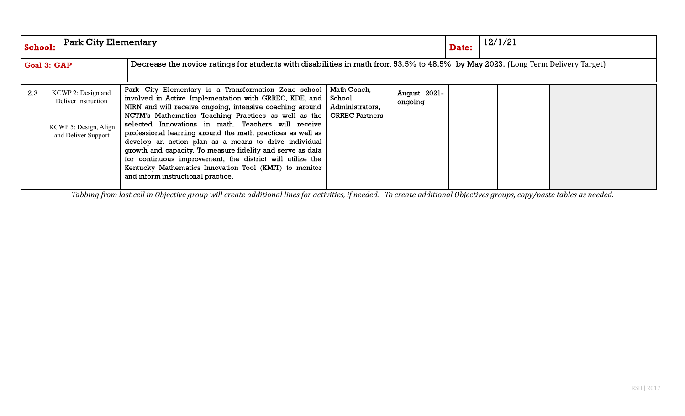| <b>School:</b>     | <b>Park City Elementary</b>                                                               |                                                                                                                                                                                                                                                                                                                                                                                                                                                                                                                                                                                                                                                                                   |                 |                         | Date: | 12/1/21 |  |  |
|--------------------|-------------------------------------------------------------------------------------------|-----------------------------------------------------------------------------------------------------------------------------------------------------------------------------------------------------------------------------------------------------------------------------------------------------------------------------------------------------------------------------------------------------------------------------------------------------------------------------------------------------------------------------------------------------------------------------------------------------------------------------------------------------------------------------------|-----------------|-------------------------|-------|---------|--|--|
| <b>Goal 3: GAP</b> |                                                                                           | Decrease the novice ratings for students with disabilities in math from 53.5% to 48.5% by May 2023. (Long Term Delivery Target)                                                                                                                                                                                                                                                                                                                                                                                                                                                                                                                                                   |                 |                         |       |         |  |  |
| 2.3                | KCWP 2: Design and<br>Deliver Instruction<br>KCWP 5: Design, Align<br>and Deliver Support | Park City Elementary is a Transformation Zone school   Math Coach,<br>involved in Active Implementation with GRREC, KDE, and School<br>NIRN and will receive ongoing, intensive coaching around  <br>NCTM's Mathematics Teaching Practices as well as the GRREC Partners<br>selected Innovations in math. Teachers will receive<br>professional learning around the math practices as well as<br>develop an action plan as a means to drive individual<br>growth and capacity. To measure fidelity and serve as data<br>for continuous improvement, the district will utilize the<br>Kentucky Mathematics Innovation Tool (KMIT) to monitor<br>and inform instructional practice. | Administrators, | August 2021-<br>ongoing |       |         |  |  |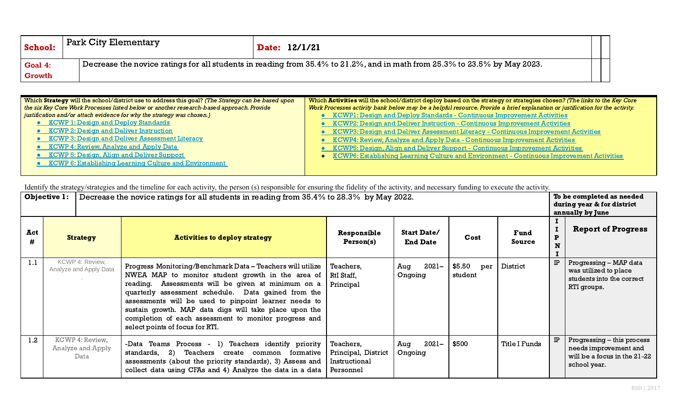| School:       | <b>Park City Elementary</b> | <b>Date: 12/1/21</b>                                                                                                      |  |
|---------------|-----------------------------|---------------------------------------------------------------------------------------------------------------------------|--|
| Goal 4:       |                             | Decrease the novice ratings for all students in reading from 35.4% to 21.2%, and in math from 25.3% to 23.5% by May 2023. |  |
| <b>Growth</b> |                             |                                                                                                                           |  |

| Which Strategy will the school/district use to address this goal? (The Strategy can be based upon | Which Activities will the school/district deploy based on the strategy or strategies chosen? (The links to the Key Core      |  |  |  |  |  |  |
|---------------------------------------------------------------------------------------------------|------------------------------------------------------------------------------------------------------------------------------|--|--|--|--|--|--|
| the six Key Core Work Processes listed below or another research-based approach. Provide          | Work Processes activity bank below may be a helpful resource. Provide a brief explanation or justification for the activity. |  |  |  |  |  |  |
| justification and/or attach evidence for why the strategy was chosen.)                            | <b>KCWP1: Design and Deploy Standards - Continuous Improvement Activities</b>                                                |  |  |  |  |  |  |
| • KCWP 1: Design and Deploy Standards                                                             | <b>KCWP2: Design and Deliver Instruction - Continuous Improvement Activities</b>                                             |  |  |  |  |  |  |
| • KCWP 2: Design and Deliver Instruction                                                          | KCWP3: Design and Deliver Assessment Literacy - Continuous Improvement Activities                                            |  |  |  |  |  |  |
| • KCWP 3: Design and Deliver Assessment Literacy                                                  | <b>KCWP4: Review, Analyze and Apply Data - Continuous Improvement Activities</b>                                             |  |  |  |  |  |  |
| • KCWP 4: Review, Analyze and Apply Data                                                          | <b>KCWP5: Design, Align and Deliver Support - Continuous Improvement Activities</b>                                          |  |  |  |  |  |  |
| • KCWP 5: Design, Align and Deliver Support                                                       | KCWP6: Establishing Learning Culture and Environment - Continuous Improvement Activities                                     |  |  |  |  |  |  |
| • KCWP 6: Establishing Learning Culture and Environment                                           |                                                                                                                              |  |  |  |  |  |  |
|                                                                                                   |                                                                                                                              |  |  |  |  |  |  |

| <b>Objective 1:</b> |                                              |                                                                                                                                                                                                                                                                                                                                                                                                                                               | Decrease the novice ratings for all students in reading from 35.4% to 28.3% by May 2022. |                                       |                          |                      |  |                                                                                                     |
|---------------------|----------------------------------------------|-----------------------------------------------------------------------------------------------------------------------------------------------------------------------------------------------------------------------------------------------------------------------------------------------------------------------------------------------------------------------------------------------------------------------------------------------|------------------------------------------------------------------------------------------|---------------------------------------|--------------------------|----------------------|--|-----------------------------------------------------------------------------------------------------|
| Act<br>#            | <b>Strategy</b>                              | <b>Activities to deploy strategy</b>                                                                                                                                                                                                                                                                                                                                                                                                          | Responsible<br>Person(s)                                                                 | <b>Start Date/</b><br><b>End Date</b> | Cost                     | Fund<br>Source       |  | <b>Report of Progress</b>                                                                           |
| 1.1                 | KCWP 4: Review,<br>Analyze and Apply Data    | Progress Monitoring/Benchmark Data - Teachers will utilize<br>NWEA MAP to monitor student growth in the area of  <br>reading. Assessments will be given at minimum on a<br>quarterly assessment schedule. Data gained from the<br>assessments will be used to pinpoint learner needs to<br>sustain growth. MAP data digs will take place upon the<br>completion of each assessment to monitor progress and<br>select points of focus for RTI. | Teachers,<br>RtI Staff,<br>Principal                                                     | $2021 -$<br>Aug<br>Ongoing            | \$5.50<br>per<br>student | District             |  | Progressing - MAP data<br>was utilized to place<br>students into the correct<br>RTI groups.         |
| 1.2 <sub>2</sub>    | KCWP 4: Review,<br>Analyze and Apply<br>Data | -Data Teams Process - 1) Teachers identify priority<br>standards, 2) Teachers create common formative<br>assessments (about the priority standards), 3) Assess and<br>collect data using CFAs and 4) Analyze the data in a data                                                                                                                                                                                                               | Teachers,<br>Principal, District<br>Instructional<br>Personnel                           | 2021-<br>Aug<br>Ongoing               | \$500                    | <b>Title I Funds</b> |  | Progressing - this process<br>needs improvement and<br>will be a focus in the 21-22<br>school year. |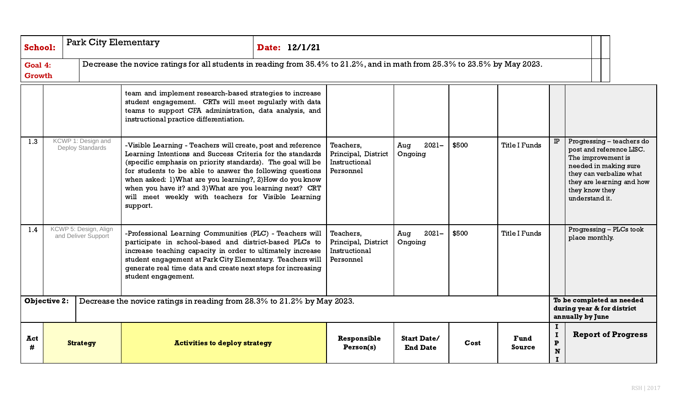| <b>School:</b>           | <b>Park City Elementary</b>                                                                    |                                              |                                                                                                                                                                                                                                                                                                                                                                                                                                                    | Date: 12/1/21 |                                                                |                                                                             |       |                       |                                         |                                                                                                                                                                                                  |
|--------------------------|------------------------------------------------------------------------------------------------|----------------------------------------------|----------------------------------------------------------------------------------------------------------------------------------------------------------------------------------------------------------------------------------------------------------------------------------------------------------------------------------------------------------------------------------------------------------------------------------------------------|---------------|----------------------------------------------------------------|-----------------------------------------------------------------------------|-------|-----------------------|-----------------------------------------|--------------------------------------------------------------------------------------------------------------------------------------------------------------------------------------------------|
| Goal 4:<br><b>Growth</b> |                                                                                                |                                              | Decrease the novice ratings for all students in reading from 35.4% to 21.2%, and in math from 25.3% to 23.5% by May 2023.                                                                                                                                                                                                                                                                                                                          |               |                                                                |                                                                             |       |                       |                                         |                                                                                                                                                                                                  |
|                          |                                                                                                |                                              | team and implement research-based strategies to increase<br>student engagement. CRTs will meet regularly with data<br>teams to support CFA administration, data analysis, and<br>instructional practice differentiation.                                                                                                                                                                                                                           |               |                                                                |                                                                             |       |                       |                                         |                                                                                                                                                                                                  |
| 1.3                      | KCWP 1: Design and<br>Deploy Standards                                                         |                                              | -Visible Learning - Teachers will create, post and reference<br>Learning Intentions and Success Criteria for the standards<br>(specific emphasis on priority standards). The goal will be<br>for students to be able to answer the following questions<br>when asked: 1) What are you learning?, 2) How do you know<br>when you have it? and 3) What are you learning next? CRT<br>will meet weekly with teachers for Visible Learning<br>support. |               | Teachers,<br>Principal, District<br>Instructional<br>Personnel | $2021 -$<br>Aug<br>Ongoing                                                  | \$500 | <b>Title I Funds</b>  | <b>IP</b>                               | Progressing - teachers do<br>post and reference LISC.<br>The improvement is<br>needed in making sure<br>they can verbalize what<br>they are learning and how<br>they know they<br>understand it. |
| 1.4                      |                                                                                                | KCWP 5: Design, Align<br>and Deliver Support | -Professional Learning Communities (PLC) - Teachers will<br>participate in school-based and district-based PLCs to<br>increase teaching capacity in order to ultimately increase<br>student engagement at Park City Elementary. Teachers will<br>generate real time data and create next steps for increasing<br>student engagement.                                                                                                               |               | Teachers,<br>Principal, District<br>Instructional<br>Personnel | $2021 -$<br>Aug<br>Ongoing                                                  | \$500 | <b>Title I Funds</b>  |                                         | Progressing - PLCs took<br>place monthly.                                                                                                                                                        |
|                          | <b>Objective 2:</b><br>Decrease the novice ratings in reading from 28.3% to 21.2% by May 2023. |                                              |                                                                                                                                                                                                                                                                                                                                                                                                                                                    |               |                                                                | To be completed as needed<br>during year & for district<br>annually by June |       |                       |                                         |                                                                                                                                                                                                  |
| Act<br>#                 |                                                                                                | <b>Strategy</b>                              | <b>Activities to deploy strategy</b>                                                                                                                                                                                                                                                                                                                                                                                                               |               | Responsible<br>Person(s)                                       | <b>Start Date/</b><br><b>End Date</b>                                       | Cost  | <b>Fund</b><br>Source | Ι.<br>$\bf{I}$<br>$\mathbf P$<br>N<br>T | <b>Report of Progress</b>                                                                                                                                                                        |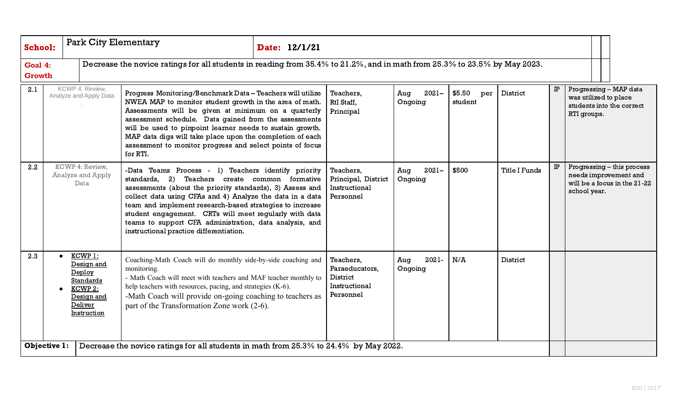| <b>School:</b>           | <b>Park City Elementary</b><br>Date: 12/1/21 |                                                                                                        |                                                                                                                                                                                                                                                                                                                                                                                                                                                                   |  |                                                                       |                            |                          |                      |    |                                                                                                     |
|--------------------------|----------------------------------------------|--------------------------------------------------------------------------------------------------------|-------------------------------------------------------------------------------------------------------------------------------------------------------------------------------------------------------------------------------------------------------------------------------------------------------------------------------------------------------------------------------------------------------------------------------------------------------------------|--|-----------------------------------------------------------------------|----------------------------|--------------------------|----------------------|----|-----------------------------------------------------------------------------------------------------|
| Goal 4:<br><b>Growth</b> |                                              |                                                                                                        | Decrease the novice ratings for all students in reading from 35.4% to 21.2%, and in math from 25.3% to 23.5% by May 2023.                                                                                                                                                                                                                                                                                                                                         |  |                                                                       |                            |                          |                      |    |                                                                                                     |
| 2.1                      |                                              | KCWP 4: Review,<br>Analyze and Apply Data                                                              | Progress Monitoring/Benchmark Data - Teachers will utilize<br>NWEA MAP to monitor student growth in the area of math.<br>Assessments will be given at minimum on a quarterly<br>assessment schedule. Data gained from the assessments<br>will be used to pinpoint learner needs to sustain growth.<br>MAP data digs will take place upon the completion of each<br>assessment to monitor progress and select points of focus<br>for RTI.                          |  | Teachers,<br>RtI Staff,<br>Principal                                  | Aug<br>$2021 -$<br>Ongoing | \$5.50<br>per<br>student | District             | IP | Progressing - MAP data<br>was utilized to place<br>students into the correct<br>RTI groups.         |
| 2.2                      |                                              | KCWP 4: Review,<br>Analyze and Apply<br>Data                                                           | -Data Teams Process - 1) Teachers identify priority<br>standards,<br>Teachers create common formative<br>2)<br>assessments (about the priority standards), 3) Assess and<br>collect data using CFAs and 4) Analyze the data in a data<br>team and implement research-based strategies to increase<br>student engagement. CRTs will meet regularly with data<br>teams to support CFA administration, data analysis, and<br>instructional practice differentiation. |  | Teachers,<br>Principal, District<br>Instructional<br>Personnel        | $2021 -$<br>Aug<br>Ongoing | \$500                    | <b>Title I Funds</b> | IP | Progressing - this process<br>needs improvement and<br>will be a focus in the 21-22<br>school year. |
| 2.3                      | $\bullet$                                    | KCWP 1:<br>Design and<br>Deploy<br><b>Standards</b><br>KCWP 2:<br>Design and<br>Deliver<br>Instruction | Coaching-Math Coach will do monthly side-by-side coaching and<br>monitoring.<br>- Math Coach will meet with teachers and MAF teacher monthly to<br>help teachers with resources, pacing, and strategies (K-6).<br>-Math Coach will provide on-going coaching to teachers as<br>part of the Transformation Zone work (2-6).                                                                                                                                        |  | Teachers,<br>Paraeducators,<br>District<br>Instructional<br>Personnel | 2021-<br>Aug<br>Ongoing    | N/A                      | District             |    |                                                                                                     |
| Objective 1:             |                                              |                                                                                                        | Decrease the novice ratings for all students in math from 25.3% to 24.4% by May 2022.                                                                                                                                                                                                                                                                                                                                                                             |  |                                                                       |                            |                          |                      |    |                                                                                                     |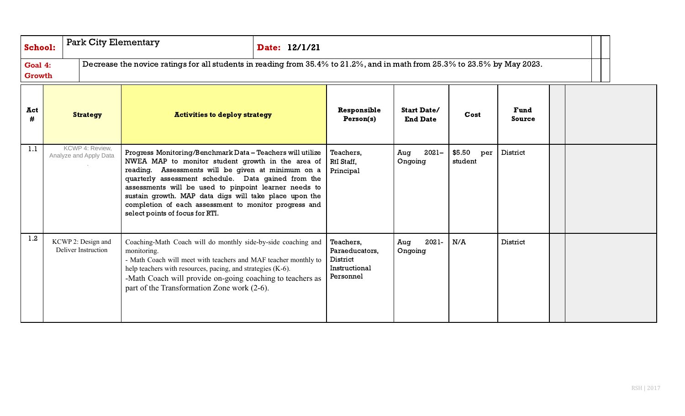| <b>School:</b> | <b>Park City Elementary</b> |                                           | Date: 12/1/21                                                                                                                                                                                                                                                                                                                                                                                                                               |  |                                                                       |                                       |                          |                       |  |  |  |
|----------------|-----------------------------|-------------------------------------------|---------------------------------------------------------------------------------------------------------------------------------------------------------------------------------------------------------------------------------------------------------------------------------------------------------------------------------------------------------------------------------------------------------------------------------------------|--|-----------------------------------------------------------------------|---------------------------------------|--------------------------|-----------------------|--|--|--|
|                | Goal 4:<br>Growth           |                                           | Decrease the novice ratings for all students in reading from 35.4% to 21.2%, and in math from 25.3% to 23.5% by May 2023.                                                                                                                                                                                                                                                                                                                   |  |                                                                       |                                       |                          |                       |  |  |  |
| Act<br>#       |                             | <b>Strategy</b>                           | <b>Activities to deploy strategy</b>                                                                                                                                                                                                                                                                                                                                                                                                        |  | Responsible<br>Person(s)                                              | <b>Start Date/</b><br><b>End Date</b> | Cost                     | Fund<br><b>Source</b> |  |  |  |
| 1.1            |                             | KCWP 4: Review,<br>Analyze and Apply Data | Progress Monitoring/Benchmark Data - Teachers will utilize<br>NWEA MAP to monitor student growth in the area of<br>reading. Assessments will be given at minimum on a<br>quarterly assessment schedule. Data gained from the<br>assessments will be used to pinpoint learner needs to<br>sustain growth. MAP data digs will take place upon the<br>completion of each assessment to monitor progress and<br>select points of focus for RTI. |  | Teachers,<br>RtI Staff,<br>Principal                                  | $2021 -$<br>Aug<br>Ongoing            | \$5.50<br>per<br>student | District              |  |  |  |
| 1.2            |                             | KCWP 2: Design and<br>Deliver Instruction | Coaching-Math Coach will do monthly side-by-side coaching and<br>monitoring.<br>- Math Coach will meet with teachers and MAF teacher monthly to<br>help teachers with resources, pacing, and strategies (K-6).<br>-Math Coach will provide on-going coaching to teachers as<br>part of the Transformation Zone work (2-6).                                                                                                                  |  | Teachers,<br>Paraeducators,<br>District<br>Instructional<br>Personnel | 2021-<br>Aug<br>Ongoing               | N/A                      | District              |  |  |  |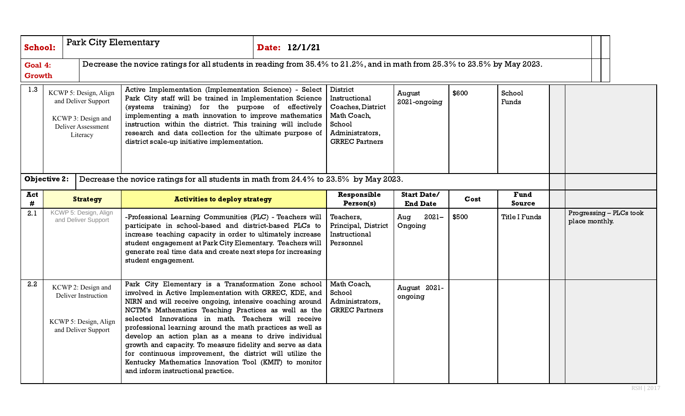| <b>School:</b>    |                          | <b>Park City Elementary</b>                                                                          |                                                                                                                                                                                                                                                                                                                                                                                                                                                                                                                                                                                                                                             | Date: 12/1/21 |                                                                                                                     |                                       |       |                              |  |                                           |
|-------------------|--------------------------|------------------------------------------------------------------------------------------------------|---------------------------------------------------------------------------------------------------------------------------------------------------------------------------------------------------------------------------------------------------------------------------------------------------------------------------------------------------------------------------------------------------------------------------------------------------------------------------------------------------------------------------------------------------------------------------------------------------------------------------------------------|---------------|---------------------------------------------------------------------------------------------------------------------|---------------------------------------|-------|------------------------------|--|-------------------------------------------|
|                   | Goal 4:<br><b>Growth</b> |                                                                                                      | Decrease the novice ratings for all students in reading from 35.4% to 21.2%, and in math from 25.3% to 23.5% by May 2023.                                                                                                                                                                                                                                                                                                                                                                                                                                                                                                                   |               |                                                                                                                     |                                       |       |                              |  |                                           |
| 1.3               |                          | KCWP 5: Design, Align<br>and Deliver Support<br>KCWP 3: Design and<br>Deliver Assessment<br>Literacy | Active Implementation (Implementation Science) - Select<br>Park City staff will be trained in Implementation Science<br>(systems training) for the purpose of effectively<br>implementing a math innovation to improve mathematics<br>instruction within the district. This training will include<br>research and data collection for the ultimate purpose of<br>district scale-up initiative implementation.                                                                                                                                                                                                                               |               | District<br>Instructional<br>Coaches, District<br>Math Coach,<br>School<br>Administrators,<br><b>GRREC Partners</b> | August<br>2021-ongoing                | \$600 | School<br>Funds              |  |                                           |
|                   | <b>Objective 2:</b>      |                                                                                                      | Decrease the novice ratings for all students in math from 24.4% to 23.5% by May 2023.                                                                                                                                                                                                                                                                                                                                                                                                                                                                                                                                                       |               |                                                                                                                     |                                       |       |                              |  |                                           |
| Act<br>$\pmb{\#}$ |                          | <b>Strategy</b>                                                                                      | <b>Activities to deploy strategy</b>                                                                                                                                                                                                                                                                                                                                                                                                                                                                                                                                                                                                        |               | Responsible<br>Person(s)                                                                                            | <b>Start Date/</b><br><b>End Date</b> | Cost  | <b>Fund</b><br><b>Source</b> |  |                                           |
| 2.1               |                          | KCWP 5: Design, Align<br>and Deliver Support                                                         | -Professional Learning Communities (PLC) - Teachers will<br>participate in school-based and district-based PLCs to<br>increase teaching capacity in order to ultimately increase<br>student engagement at Park City Elementary. Teachers will<br>generate real time data and create next steps for increasing<br>student engagement.                                                                                                                                                                                                                                                                                                        |               | Teachers,<br>Principal, District<br>Instructional<br>Personnel                                                      | Aug<br>$2021 -$<br>Ongoing            | \$500 | <b>Title I Funds</b>         |  | Progressing - PLCs took<br>place monthly. |
| 2.2               |                          | KCWP 2: Design and<br><b>Deliver Instruction</b><br>KCWP 5: Design, Align<br>and Deliver Support     | Park City Elementary is a Transformation Zone school<br>involved in Active Implementation with GRREC, KDE, and<br>NIRN and will receive ongoing, intensive coaching around<br>NCTM's Mathematics Teaching Practices as well as the<br>selected Innovations in math. Teachers will receive<br>professional learning around the math practices as well as<br>develop an action plan as a means to drive individual<br>growth and capacity. To measure fidelity and serve as data<br>for continuous improvement, the district will utilize the<br>Kentucky Mathematics Innovation Tool (KMIT) to monitor<br>and inform instructional practice. |               | Math Coach,<br>School<br>Administrators,<br><b>GRREC Partners</b>                                                   | August 2021-<br>ongoing               |       |                              |  |                                           |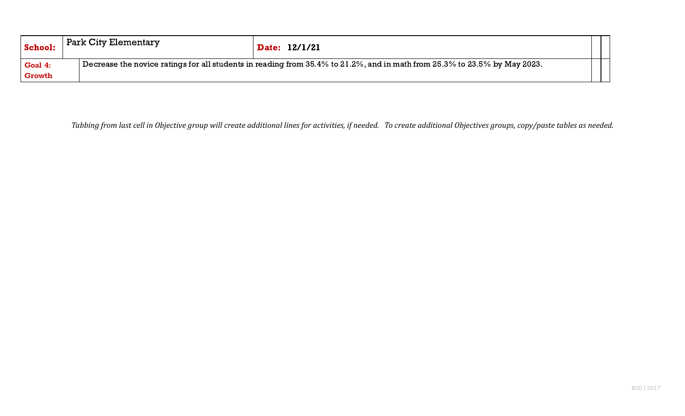| School:       | Park City Elementary |  | Date: 12/1/21                                                                                                                          |  |
|---------------|----------------------|--|----------------------------------------------------------------------------------------------------------------------------------------|--|
| Goal 4:       |                      |  | Decrease the novice ratings for all students in reading from $35.4\%$ to $21.2\%$ , and in math from $25.3\%$ to $23.5\%$ by May 2023. |  |
| <b>Growth</b> |                      |  |                                                                                                                                        |  |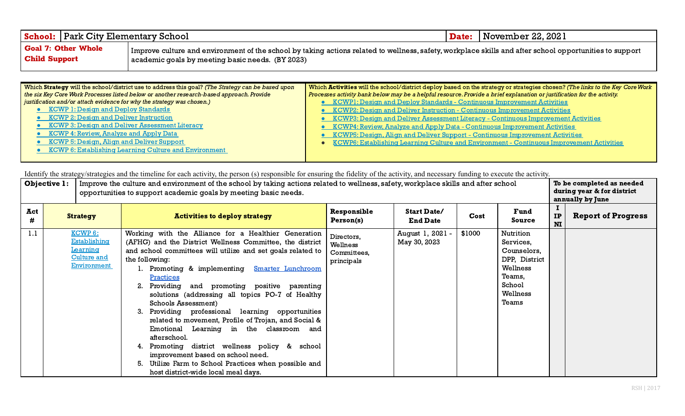| <b>School: Park City Elementary School</b>  |                                                                                                                                                                                                             | <b>Date:</b> November 22, 2021 |
|---------------------------------------------|-------------------------------------------------------------------------------------------------------------------------------------------------------------------------------------------------------------|--------------------------------|
| Goal 7: Other Whole<br><b>Child Support</b> | Improve culture and environment of the school by taking actions related to wellness, safety, workplace skills and after school opportunities to support<br>academic goals by meeting basic needs. (BY 2023) |                                |

| Which Strategy will the school/district use to address this goal? (The Strategy can be based upon | Which Activities will the school/district deploy based on the strategy or strategies chosen? (The links to the Key Core Work |
|---------------------------------------------------------------------------------------------------|------------------------------------------------------------------------------------------------------------------------------|
| the six Key Core Work Processes listed below or another research-based approach. Provide          | Processes activity bank below may be a helpful resource. Provide a brief explanation or justification for the activity.      |
| justification and/or attach evidence for why the strategy was chosen.)                            | <b>•</b> KCWP1: Design and Deploy Standards - Continuous Improvement Activities                                              |
| • KCWP 1: Design and Deploy Standards                                                             | • KCWP2: Design and Deliver Instruction - Continuous Improvement Activities                                                  |
| • KCWP 2: Design and Deliver Instruction                                                          | • KCWP3: Design and Deliver Assessment Literacy - Continuous Improvement Activities                                          |
| • KCWP 3: Design and Deliver Assessment Literacy                                                  | • KCWP4: Review, Analyze and Apply Data - Continuous Improvement Activities                                                  |
| • KCWP 4: Review, Analyze and Apply Data                                                          | • KCWP5: Design, Align and Deliver Support - Continuous Improvement Activities                                               |
| • KCWP 5: Design, Align and Deliver Support                                                       | <b>KCWP6: Establishing Learning Culture and Environment - Continuous Improvement Activities</b>                              |
| • KCWP 6: Establishing Learning Culture and Environment                                           |                                                                                                                              |
|                                                                                                   |                                                                                                                              |

| Objective 1: |  | Improve the culture and environment of the school by taking actions related to wellness, safety, workplace skills and after school<br>opportunities to support academic goals by meeting basic needs. | To be completed as needed<br>during year & for district<br>annually by June                                                                                                                                                                                                                                                                                                                                                                                                                                                                                                                                                                                                                                                                         |                                                     |                                       |        |                                                                                                             |          |                           |
|--------------|--|-------------------------------------------------------------------------------------------------------------------------------------------------------------------------------------------------------|-----------------------------------------------------------------------------------------------------------------------------------------------------------------------------------------------------------------------------------------------------------------------------------------------------------------------------------------------------------------------------------------------------------------------------------------------------------------------------------------------------------------------------------------------------------------------------------------------------------------------------------------------------------------------------------------------------------------------------------------------------|-----------------------------------------------------|---------------------------------------|--------|-------------------------------------------------------------------------------------------------------------|----------|---------------------------|
| Act<br>#     |  | <b>Strategy</b>                                                                                                                                                                                       | <b>Activities to deploy strategy</b>                                                                                                                                                                                                                                                                                                                                                                                                                                                                                                                                                                                                                                                                                                                | Responsible<br>Person(s)                            | <b>Start Date/</b><br><b>End Date</b> | Cost   | Fund<br>Source                                                                                              | IP<br>NI | <b>Report of Progress</b> |
| 1.1          |  | KCWP 6:<br><b>Establishing</b><br>Learning<br><b>Culture and</b><br>Environment                                                                                                                       | Working with the Alliance for a Healthier Generation<br>(AFHG) and the District Wellness Committee, the district<br>and school committees will utilize and set goals related to<br>the following:<br>1. Promoting & implementing Smarter Lunchroom<br>Practices<br>2. Providing and promoting positive parenting<br>solutions (addressing all topics PO-7 of Healthy<br>Schools Assessment)<br>Providing professional learning opportunities<br>related to movement, Profile of Trojan, and Social &<br>Emotional Learning in the classroom and<br>afterschool.<br>Promoting district wellness policy & school<br>improvement based on school need.<br>5. Utilize Farm to School Practices when possible and<br>host district-wide local meal days. | Directors,<br>Wellness<br>Committees,<br>principals | August 1, 2021 -<br>May 30, 2023      | \$1000 | Nutrition<br>Services,<br>Counselors,<br>DPP, District<br>Wellness<br>Teams,<br>School<br>Wellness<br>Teams |          |                           |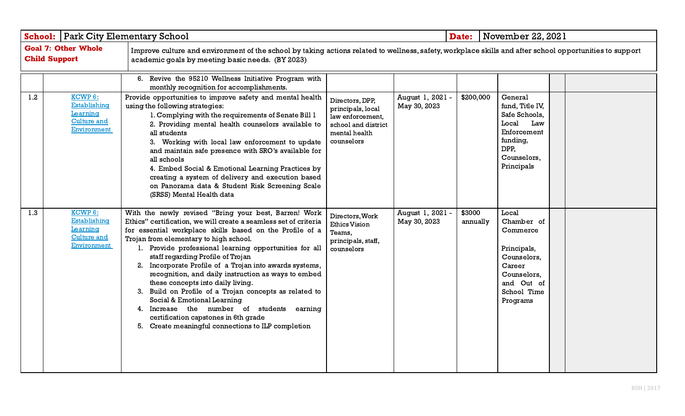|     | <b>School:   Park City Elementary School</b>                                    |                                                                                                                                                                                                                                                                                                                                                                                                                                                                                                                                                                                                                                                                                                                            |                                                                                                                | Date:                            | November 22, 2021  |                                                                                                                                 |  |  |
|-----|---------------------------------------------------------------------------------|----------------------------------------------------------------------------------------------------------------------------------------------------------------------------------------------------------------------------------------------------------------------------------------------------------------------------------------------------------------------------------------------------------------------------------------------------------------------------------------------------------------------------------------------------------------------------------------------------------------------------------------------------------------------------------------------------------------------------|----------------------------------------------------------------------------------------------------------------|----------------------------------|--------------------|---------------------------------------------------------------------------------------------------------------------------------|--|--|
|     | <b>Goal 7: Other Whole</b><br><b>Child Support</b>                              | Improve culture and environment of the school by taking actions related to wellness, safety, workplace skills and after school opportunities to support<br>academic goals by meeting basic needs. (BY 2023)                                                                                                                                                                                                                                                                                                                                                                                                                                                                                                                |                                                                                                                |                                  |                    |                                                                                                                                 |  |  |
|     |                                                                                 | 6. Revive the 95210 Wellness Initiative Program with<br>monthly recognition for accomplishments.                                                                                                                                                                                                                                                                                                                                                                                                                                                                                                                                                                                                                           |                                                                                                                |                                  |                    |                                                                                                                                 |  |  |
| 1.2 | KCWP 6:<br><b>Establishing</b><br>Learning<br><b>Culture and</b><br>Environment | Provide opportunities to improve safety and mental health<br>using the following strategies:<br>1. Complying with the requirements of Senate Bill 1<br>2. Providing mental health counselors available to<br>all students<br>3. Working with local law enforcement to update<br>and maintain safe presence with SRO's available for<br>all schools<br>4. Embed Social & Emotional Learning Practices by<br>creating a system of delivery and execution based<br>on Panorama data & Student Risk Screening Scale<br>(SRSS) Mental Health data                                                                                                                                                                               | Directors, DPP,<br>principals, local<br>law enforcement,<br>school and district<br>mental health<br>counselors | August 1, 2021 -<br>May 30, 2023 | \$200,000          | General<br>fund, Title IV,<br>Safe Schools,<br>Local<br>Law<br>Enforcement<br>funding,<br>DPP,<br>Counselors,<br>Principals     |  |  |
| 1.3 | KCWP 6:<br>Establishing<br>Learning<br><b>Culture and</b><br>Environment        | With the newly revised "Bring your best, Barren! Work<br>Ethics" certification, we will create a seamless set of criteria<br>for essential workplace skills based on the Profile of a<br>Trojan from elementary to high school.<br>1. Provide professional learning opportunities for all<br>staff regarding Profile of Trojan<br>2. Incorporate Profile of a Trojan into awards systems,<br>recognition, and daily instruction as ways to embed<br>these concepts into daily living.<br>3. Build on Profile of a Trojan concepts as related to<br>Social & Emotional Learning<br>4. Increase the number of students earning<br>certification capstones in 6th grade<br>5. Create meaningful connections to ILP completion | Directors, Work<br><b>Ethics Vision</b><br>Teams,<br>principals, staff,<br>counselors                          | August 1, 2021 -<br>May 30, 2023 | \$3000<br>annually | Local<br>Chamber of<br>Commerce<br>Principals,<br>Counselors,<br>Career<br>Counselors,<br>and Out of<br>School Time<br>Programs |  |  |